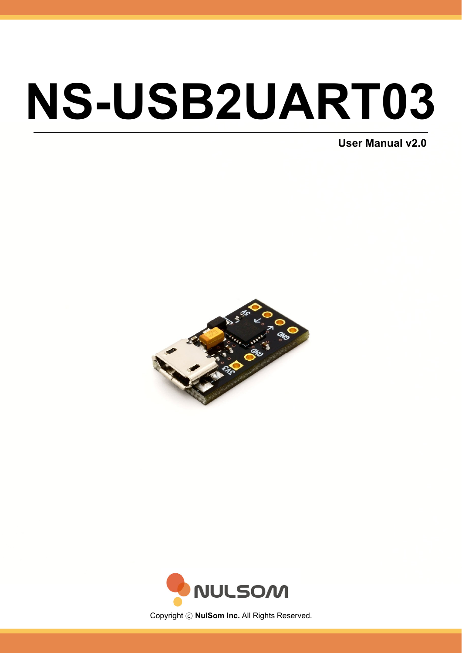# NS-USB2UART03

User Manual v2.0





Copyright © NulSom Inc. All Rights Reserved.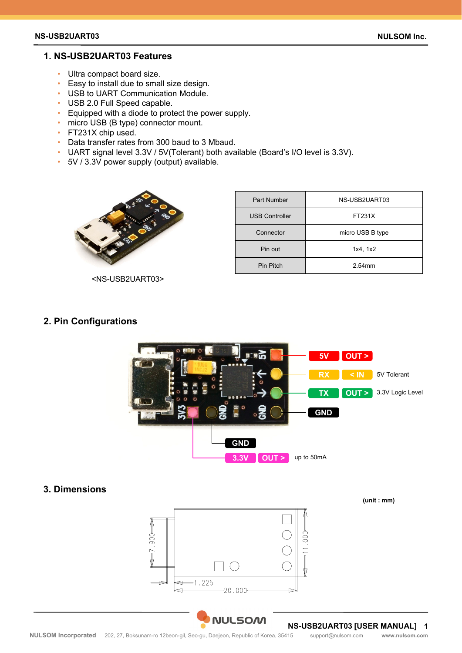## **1. NS-USB2UART03 Features**

- Ultra compact board size.
- Easy to install due to small size design.
- USB to UART Communication Module.
- USB 2.0 Full Speed capable.
- Equipped with a diode to protect the power supply.
- micro USB (B type) connector mount.
- FT231X chip used.
- Data transfer rates from 300 baud to 3 Mbaud.
- UART signal level 3.3V / 5V(Tolerant) both available (Board's I/O level is 3.3V).
- 5V / 3.3V power supply (output) available.



<NS-USB2UART03>

| <b>Part Number</b>    | NS-USB2UART03    |
|-----------------------|------------------|
| <b>USB Controller</b> | FT231X           |
| Connector             | micro USB B type |
| Pin out               | 1x4, 1x2         |
| Pin Pitch             | $2.54$ mm        |

#### **2. Pin Configurations**



# **3. Dimensions**

**(unit : mm)**



#### **NS-USB2UART03 [USER MANUAL] 1**

**NULSOM**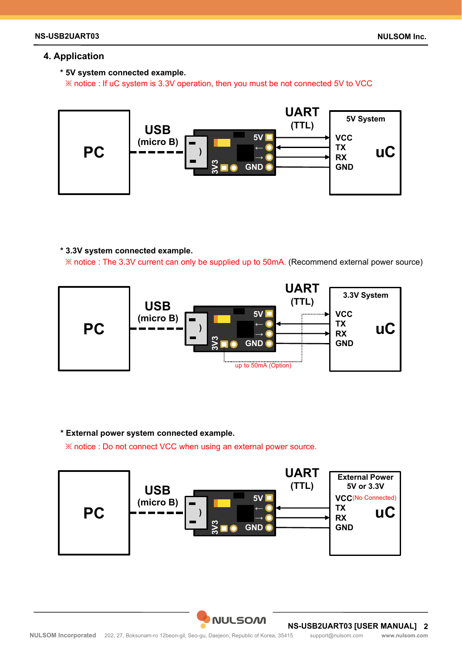## **4. Application**

### **\* 5V system connected example.**

※ notice : If uC system is 3.3V operation, then you must be not connected 5V to VCC



#### **\* 3.3V system connected example.**

※ notice : The 3.3V current can only be supplied up to 50mA. (Recommend external power source)



#### **\* External power system connected example.**

※ notice : Do not connect VCC when using an external power source.



**NS-USB2UART03 [USER MANUAL] 2**